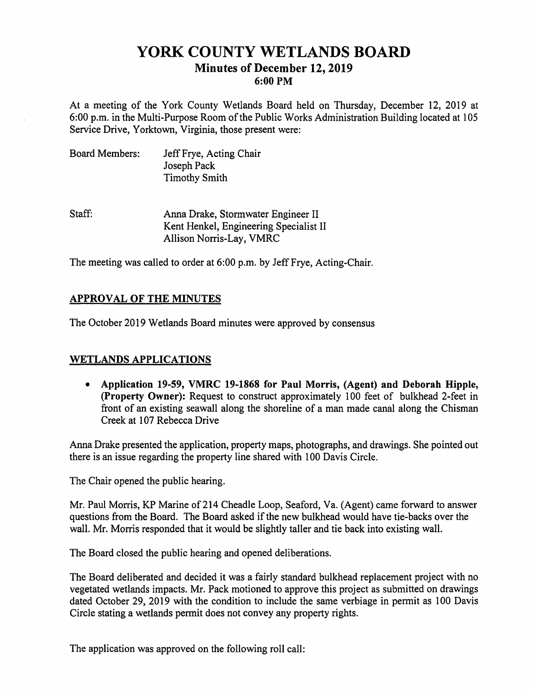# **YORK COUNTY WETLANDS BOARD Minutes of December 12, 2019 6:00 PM**

At a meeting of the York County Wetlands Board held on Thursday, December 12, 2019 at 6:00 p.m. in the Multi-Purpose Room of the Public Works Administration Building located at 105 Service Drive, Yorktown, Virginia, those present were:

| Board Members: | Jeff Frye, Acting Chair |
|----------------|-------------------------|
|                | Joseph Pack             |
|                | <b>Timothy Smith</b>    |

Staff: Anna Drake, Stormwater Engineer II Kent Henkel, Engineering Specialist II Allison Norris-Lay, VMRC

The meeting was called to order at 6:00 p.m. by Jeff Frye, Acting-Chair.

# **APPROVAL OF THE MINUTES**

The October 2019 Wetlands Board minutes were approved by consensus

### **WETLANDS APPLICATIONS**

• **Application 19-59, VMRC 19-1868 for Paul Morris, (Agent) and Deborah Hipple, (Property Owner):** Request to construct approximately 100 feet of bulkhead 2-feet in front of an existing seawall along the shoreline of a man made canal along the Chisman Creek at 107 Rebecca Drive

Anna Drake presented the application, property maps, photographs, and drawings. She pointed out there is an issue regarding the property line shared with 100 Davis Circle.

The Chair opened the public hearing.

Mr. Paul Morris, KP Marine of 214 Cheadle Loop, Seaford, Va. (Agent) came forward to answer questions from the Board. The Board asked if the new bulkhead would have tie-backs over the wall. Mr. Morris responded that it would be slightly taller and tie back into existing wall.

The Board closed the public hearing and opened deliberations.

The Board deliberated and decided it was a fairly standard bulkhead replacement project with no vegetated wetlands impacts. Mr. Pack motioned to approve this project as submitted on drawings dated October 29, 2019 with the condition to include the same verbiage in permit as 100 Davis Circle stating a wetlands permit does not convey any property rights.

The application was approved on the following roll call: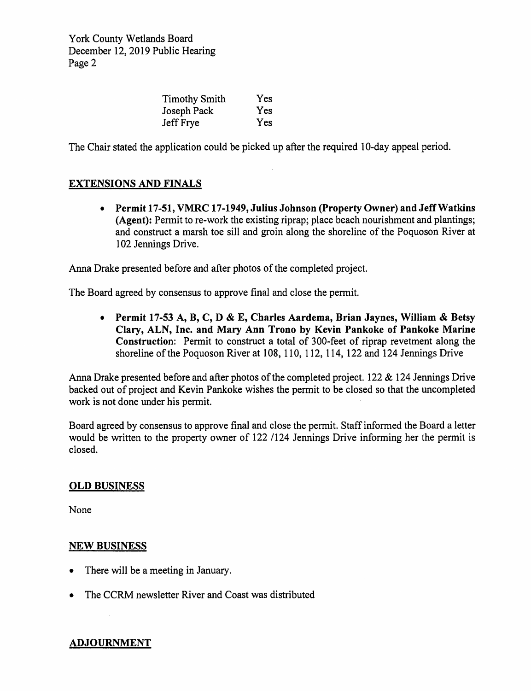York County Wetlands Board December 12, 2019 Public Hearing Page 2

| <b>Timothy Smith</b> | Yes        |
|----------------------|------------|
| Joseph Pack          | <b>Yes</b> |
| Jeff Frye            | Yes        |

The Chair stated the application could be picked up after the required 10-day appeal period.

# **EXTENSIONS AND FINALS**

• **Permit 17-51, VMRC 17-1949, Julius Johnson (Property Owner) and Jeff Watkins (Agent):** Permit to re-work the existing riprap; place beach nourishment and plantings; and construct a marsh toe sill and groin along the shoreline of the Poquoson River at 102 Jennings Drive.

Anna Drake presented before and after photos of the completed project.

The Board agreed by consensus to approve final and close the permit.

• **Permit 17-53 A, B, C, D** & **E, Charles Aardema, Brian Jaynes, William** & **Betsy Clary, ALN, Inc. and Mary Ann Trono by Kevin Pankoke of Pankoke Marine Construction:** Permit to construct a total of 300-feet of riprap revetment along the shoreline of the Poquoson River at 108, 110, 112, 114, 122 and 124 Jennings Drive

Anna Drake presented before and after photos of the completed project. 122  $& 124$  Jennings Drive backed out of project and Kevin Pankake wishes the permit to be closed so that the uncompleted work is not done under his permit.

Board agreed by consensus to approve final and close the permit. Staff informed the Board a letter would be written to the property owner of 122 /124 Jennings Drive informing her the permit is closed.

#### **OLD BUSINESS**

None

#### **NEW BUSINESS**

- There will be a meeting in January.
- The CCRM newsletter River and Coast was distributed

### **ADJOURNMENT**